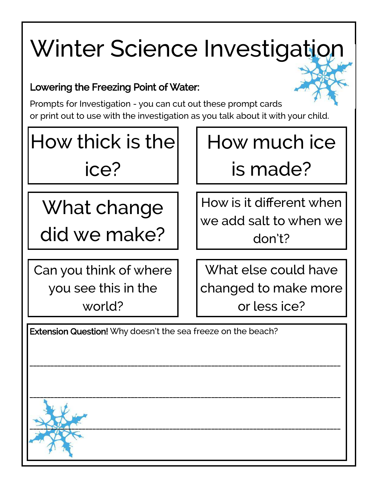# Winter Science Investigation

### Lowering the Freezing Point of Water:

Prompts for Investigation - you can cut out these prompt cards or print out to use with the investigation as you talk about it with your child.

How thick is the ice?

What change did we make?

Can you think of where you see this in the world?

How much ice is made?

How is it different when we add salt to when we don't?

What else could have changed to make more or less ice?

Extension Question! Why doesn't the sea freeze on the beach?

\_\_\_\_\_\_\_\_\_\_\_\_\_\_\_\_\_\_\_\_\_\_\_\_\_\_\_\_\_\_\_\_\_\_\_\_\_\_\_\_\_\_\_\_\_\_\_\_\_\_\_\_\_\_\_\_\_\_\_\_\_\_\_\_\_\_\_\_\_\_\_\_\_\_\_\_\_\_\_\_\_\_\_\_\_\_\_\_\_